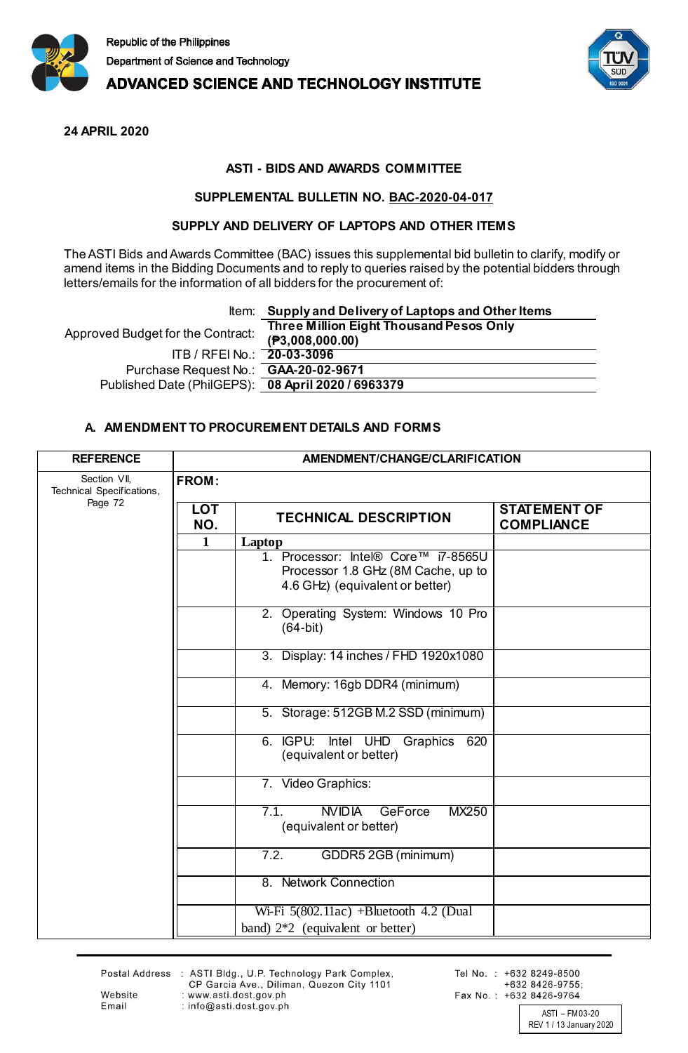

**ADVANCED SCIENCE AND TECHNOLOGY INSTITUTE** 



**24 APRIL 2020**

## **ASTI - BIDS AND AWARDS COMMITTEE**

## **SUPPLEMENTAL BULLETIN NO. BAC-2020-04-017**

## **SUPPLY AND DELIVERY OF LAPTOPS AND OTHER ITEMS**

The ASTI Bids and Awards Committee (BAC) issues this supplemental bid bulletin to clarify, modify or amend items in the Bidding Documents and to reply to queries raised by the potential bidders through letters/emails for the information of all bidders for the procurement of:

## Item: **Supply and Delivery of Laptops and Other Items**

| Approved Budget for the Contract:                  | Three Million Eight Thousand Pesos Only<br>(P3,008,000.00) |
|----------------------------------------------------|------------------------------------------------------------|
| ITB / RFEI No.: 20-03-3096                         |                                                            |
| Purchase Request No.: <b>GAA-20-02-9671</b>        |                                                            |
| Published Date (PhilGEPS): 08 April 2020 / 6963379 |                                                            |
|                                                    |                                                            |

## **A. AMENDMENT TO PROCUREMENT DETAILS AND FORMS**

| <b>REFERENCE</b>                                     | AMENDMENT/CHANGE/CLARIFICATION |                                                                                                              |                                          |
|------------------------------------------------------|--------------------------------|--------------------------------------------------------------------------------------------------------------|------------------------------------------|
| Section VII,<br>Technical Specifications,<br>Page 72 | <b>FROM:</b>                   |                                                                                                              |                                          |
|                                                      | <b>LOT</b><br>NO.              | <b>TECHNICAL DESCRIPTION</b>                                                                                 | <b>STATEMENT OF</b><br><b>COMPLIANCE</b> |
|                                                      | $\mathbf{1}$                   | Laptop                                                                                                       |                                          |
|                                                      |                                | 1. Processor: Intel® Core™ i7-8565U<br>Processor 1.8 GHz (8M Cache, up to<br>4.6 GHz) (equivalent or better) |                                          |
|                                                      |                                | 2. Operating System: Windows 10 Pro<br>$(64-bit)$                                                            |                                          |
|                                                      |                                | 3. Display: 14 inches / FHD 1920x1080                                                                        |                                          |
|                                                      |                                | 4. Memory: 16gb DDR4 (minimum)                                                                               |                                          |
|                                                      |                                | 5. Storage: 512GB M.2 SSD (minimum)                                                                          |                                          |
|                                                      |                                | 6. IGPU:<br>Intel UHD<br>620<br>Graphics<br>(equivalent or better)                                           |                                          |
|                                                      |                                | 7. Video Graphics:                                                                                           |                                          |
|                                                      |                                | <b>NVIDIA GeForce</b><br>MX250<br>7.1.<br>(equivalent or better)                                             |                                          |
|                                                      |                                | GDDR5 2GB (minimum)<br>7.2.                                                                                  |                                          |
|                                                      |                                | 8. Network Connection                                                                                        |                                          |
|                                                      |                                | Wi-Fi $5(802.11ac)$ +Bluetooth 4.2 (Dual<br>band) $2*2$ (equivalent or better)                               |                                          |

Website

Email

Postal Address : ASTI Bldg., U.P. Technology Park Complex,<br>CP Garcia Ave., Diliman, Quezon City 1101 : www.asti.dost.gov.ph : info@asti.dost.gov.ph

Tel No.: +632 8249-8500 +632 8426-9755; Fax No.: +632 8426-9764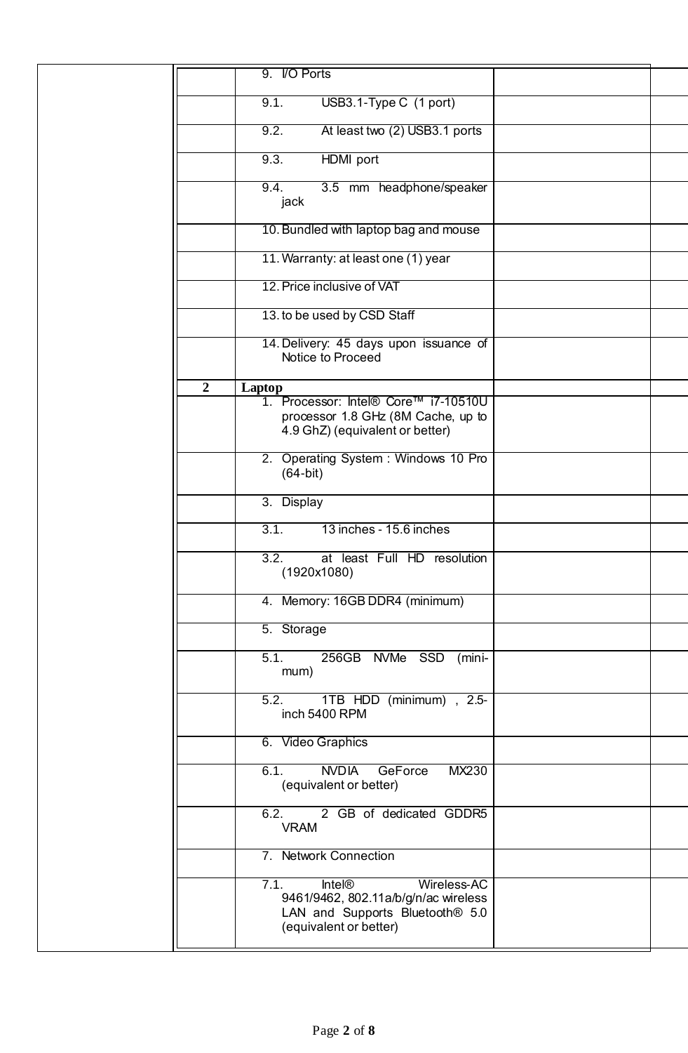|                  | 9. I/O Ports                                                                                                                                          |  |
|------------------|-------------------------------------------------------------------------------------------------------------------------------------------------------|--|
|                  | USB3.1-Type C (1 port)<br>9.1.                                                                                                                        |  |
|                  | At least two (2) USB3.1 ports<br>9.2.                                                                                                                 |  |
|                  | HDMI port<br>9.3.                                                                                                                                     |  |
|                  | 9.4.<br>3.5 mm headphone/speaker<br>jack                                                                                                              |  |
|                  | 10. Bundled with laptop bag and mouse                                                                                                                 |  |
|                  | 11. Warranty: at least one (1) year                                                                                                                   |  |
|                  | 12. Price inclusive of VAT                                                                                                                            |  |
|                  | 13. to be used by CSD Staff                                                                                                                           |  |
|                  | 14. Delivery: 45 days upon issuance of<br>Notice to Proceed                                                                                           |  |
| $\boldsymbol{2}$ | Laptop                                                                                                                                                |  |
|                  | 1. Processor: Intel® Core™ i7-10510U<br>processor 1.8 GHz (8M Cache, up to<br>4.9 GhZ) (equivalent or better)                                         |  |
|                  | 2. Operating System: Windows 10 Pro<br>$(64-bit)$                                                                                                     |  |
|                  | 3. Display                                                                                                                                            |  |
|                  | 13 inches - 15.6 inches<br>3.1.                                                                                                                       |  |
|                  | 3.2.<br>at least Full HD resolution<br>(1920x1080)                                                                                                    |  |
|                  | 4. Memory: 16GB DDR4 (minimum)                                                                                                                        |  |
|                  | 5. Storage                                                                                                                                            |  |
|                  | 5.1.<br>256GB NVMe SSD<br>(mini-<br>mum)                                                                                                              |  |
|                  | 1TB HDD (minimum), 2.5-<br>5.2.<br>inch 5400 RPM                                                                                                      |  |
|                  | 6. Video Graphics                                                                                                                                     |  |
|                  | <b>NVDIA</b><br>6.1.<br>GeForce<br>MX230<br>(equivalent or better)                                                                                    |  |
|                  | 2 GB of dedicated GDDR5<br>6.2.<br><b>VRAM</b>                                                                                                        |  |
|                  | 7. Network Connection                                                                                                                                 |  |
|                  | 7.1.<br><b>Intel®</b><br>Wireless-AC<br>9461/9462, 802.11a/b/g/n/ac wireless<br>LAN and Supports Bluetooth <sup>®</sup> 5.0<br>(equivalent or better) |  |
|                  |                                                                                                                                                       |  |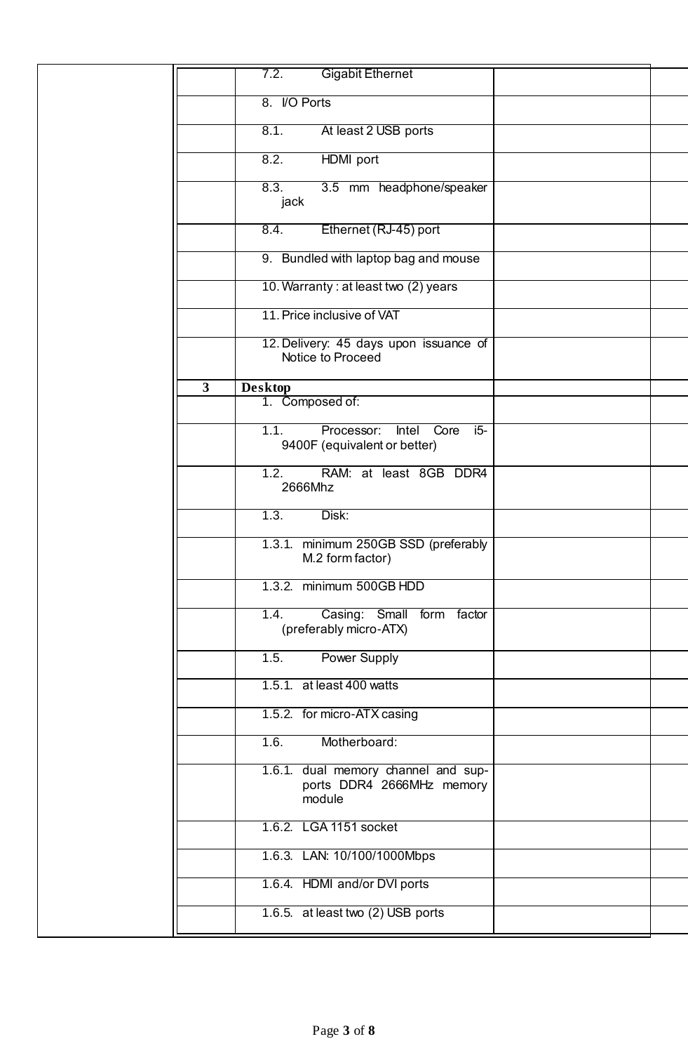|                         | <b>Gigabit Ethernet</b><br>7.2.                                              |  |
|-------------------------|------------------------------------------------------------------------------|--|
|                         | 8. I/O Ports                                                                 |  |
|                         | 8.1.<br>At least 2 USB ports                                                 |  |
|                         | 8.2.<br>HDMI port                                                            |  |
|                         | 8.3.<br>3.5 mm headphone/speaker<br>jack                                     |  |
|                         | Ethernet (RJ-45) port<br>8.4.                                                |  |
|                         | 9. Bundled with laptop bag and mouse                                         |  |
|                         | 10. Warranty: at least two (2) years                                         |  |
|                         | 11. Price inclusive of VAT                                                   |  |
|                         | 12. Delivery: 45 days upon issuance of<br>Notice to Proceed                  |  |
| $\overline{\mathbf{3}}$ | <b>Desktop</b>                                                               |  |
|                         | 1. Composed of:                                                              |  |
|                         | 1.1.<br>Processor:<br>Intel<br>Core<br>$15-$<br>9400F (equivalent or better) |  |
|                         | 1.2.<br>RAM: at least 8GB DDR4<br>2666Mhz                                    |  |
|                         | 1.3.<br>Disk:                                                                |  |
|                         | 1.3.1. minimum 250GB SSD (preferably<br>M.2 form factor)                     |  |
|                         | 1.3.2. minimum 500GB HDD                                                     |  |
|                         | Casing: Small form factor<br>1.4.<br>(preferably micro-ATX)                  |  |
|                         | <b>Power Supply</b><br>1.5.                                                  |  |
|                         | 1.5.1. at least 400 watts                                                    |  |
|                         | 1.5.2. for micro-ATX casing                                                  |  |
|                         | Motherboard:<br>1.6.                                                         |  |
|                         | 1.6.1. dual memory channel and sup-<br>ports DDR4 2666MHz memory<br>module   |  |
|                         | 1.6.2. LGA 1151 socket                                                       |  |
|                         | 1.6.3. LAN: 10/100/1000Mbps                                                  |  |
|                         | 1.6.4. HDMI and/or DVI ports                                                 |  |
|                         | 1.6.5. at least two (2) USB ports                                            |  |
|                         |                                                                              |  |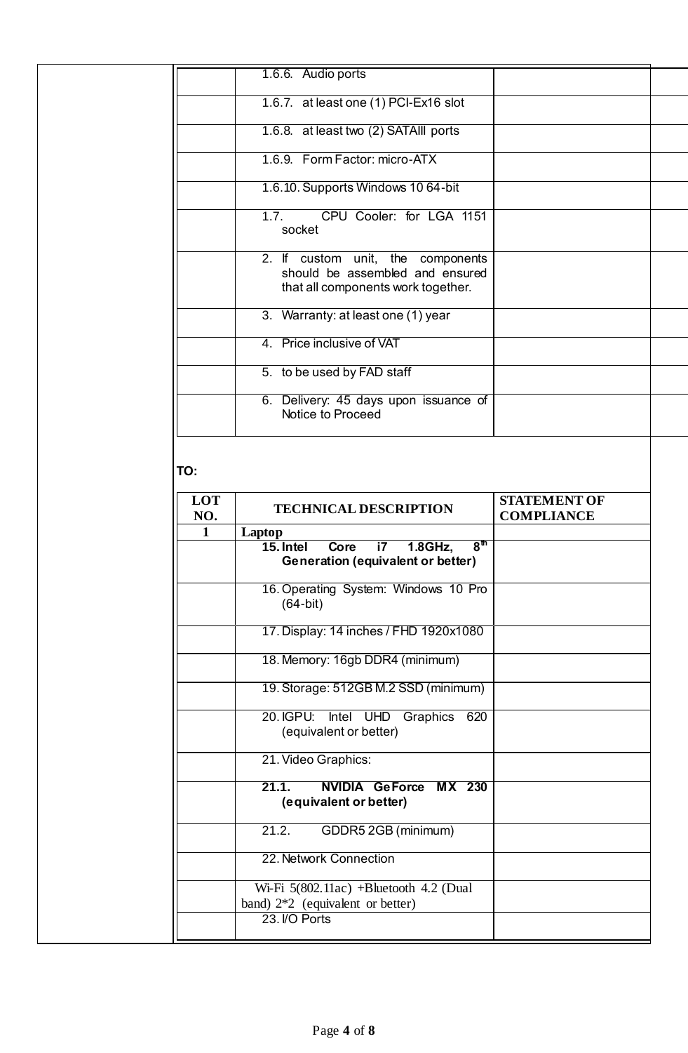|                     | 1.6.6. Audio ports                                                                                         |                     |
|---------------------|------------------------------------------------------------------------------------------------------------|---------------------|
|                     | 1.6.7. at least one (1) PCI-Ex16 slot                                                                      |                     |
|                     | 1.6.8. at least two (2) SATAIII ports                                                                      |                     |
|                     | 1.6.9. Form Factor: micro-ATX                                                                              |                     |
|                     | 1.6.10. Supports Windows 10 64-bit                                                                         |                     |
|                     | CPU Cooler: for LGA 1151<br>1.7.<br>socket                                                                 |                     |
|                     | 2. If custom unit, the components<br>should be assembled and ensured<br>that all components work together. |                     |
|                     | 3. Warranty: at least one (1) year                                                                         |                     |
|                     | 4. Price inclusive of VAT                                                                                  |                     |
|                     | 5. to be used by FAD staff                                                                                 |                     |
|                     | 6. Delivery: 45 days upon issuance of<br>Notice to Proceed                                                 |                     |
| TO:<br>LOT          | <b>TECHNICAL DESCRIPTION</b>                                                                               | <b>STATEMENT OF</b> |
| NO.<br>$\mathbf{1}$ | Laptop                                                                                                     | <b>COMPLIANCE</b>   |
|                     | 8 <sup>th</sup><br>15. Intel<br>Core<br>i7<br>1.8GHz,<br>Generation (equivalent or better)                 |                     |
|                     | 16. Operating System: Windows 10 Pro<br>$(64-bit)$                                                         |                     |
|                     | 17. Display: 14 inches / FHD 1920x1080                                                                     |                     |
|                     | 18. Memory: 16gb DDR4 (minimum)                                                                            |                     |
|                     | 19. Storage: 512GB M.2 SSD (minimum)                                                                       |                     |
|                     | 20. IGPU:<br>Intel UHD<br>Graphics<br>620<br>(equivalent or better)                                        |                     |
|                     | 21. Video Graphics:                                                                                        |                     |
|                     | <b>NVIDIA GeForce</b><br><b>MX 230</b><br>21.1.<br>(equivalent or better)                                  |                     |
|                     | 21.2.<br>GDDR5 2GB (minimum)                                                                               |                     |
|                     | 22. Network Connection                                                                                     |                     |
|                     | Wi-Fi $5(802.11ac)$ +Bluetooth 4.2 (Dual<br>band) $2*2$ (equivalent or better)                             |                     |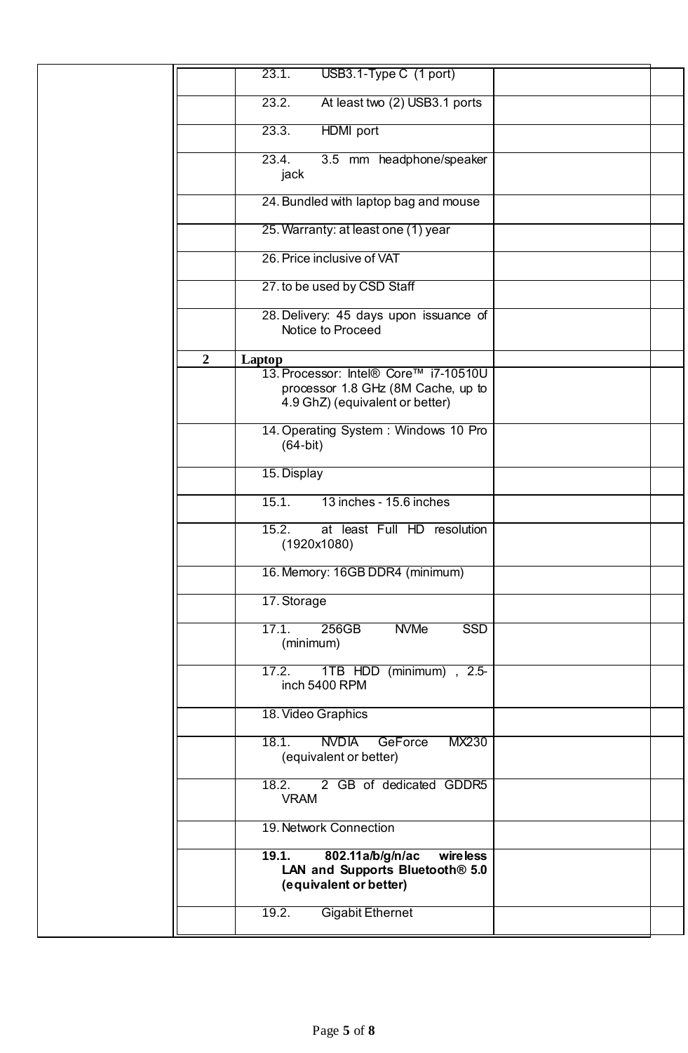|                | 23.1.<br>USB3.1-Type C (1 port)                                                                                |  |
|----------------|----------------------------------------------------------------------------------------------------------------|--|
|                | 23.2.<br>At least two (2) USB3.1 ports                                                                         |  |
|                | 23.3.<br><b>HDMI</b> port                                                                                      |  |
|                | 23.4.<br>3.5 mm headphone/speaker<br>jack                                                                      |  |
|                | 24. Bundled with laptop bag and mouse                                                                          |  |
|                | 25. Warranty: at least one (1) year                                                                            |  |
|                | 26. Price inclusive of VAT                                                                                     |  |
|                | 27. to be used by CSD Staff                                                                                    |  |
|                | 28. Delivery: 45 days upon issuance of<br>Notice to Proceed                                                    |  |
| $\overline{2}$ | <b>Laptop</b>                                                                                                  |  |
|                | 13. Processor: Intel® Core™ i7-10510U<br>processor 1.8 GHz (8M Cache, up to<br>4.9 GhZ) (equivalent or better) |  |
|                | 14. Operating System: Windows 10 Pro<br>$(64-bit)$                                                             |  |
|                | 15. Display                                                                                                    |  |
|                | 15.1.<br>13 inches - 15.6 inches                                                                               |  |
|                | 15.2.<br>at least Full HD resolution<br>(1920x1080)                                                            |  |
|                | 16. Memory: 16GB DDR4 (minimum)                                                                                |  |
|                | 17. Storage                                                                                                    |  |
|                | 17.1.<br>256GB<br><b>NVMe</b><br><b>SSD</b><br>(minimum)                                                       |  |
|                | 1TB HDD (minimum), 2.5-<br>17.2.<br>inch 5400 RPM                                                              |  |
|                | 18. Video Graphics                                                                                             |  |
|                | <b>NVDIA</b><br>18.1.<br>MX230<br><b>GeForce</b><br>(equivalent or better)                                     |  |
|                | 2 GB of dedicated GDDR5<br>18.2.<br><b>VRAM</b>                                                                |  |
|                | 19. Network Connection                                                                                         |  |
|                | 802.11a/b/g/n/ac<br>19.1.<br>wire less                                                                         |  |
|                | LAN and Supports Bluetooth <sup>®</sup> 5.0<br>(equivalent or better)                                          |  |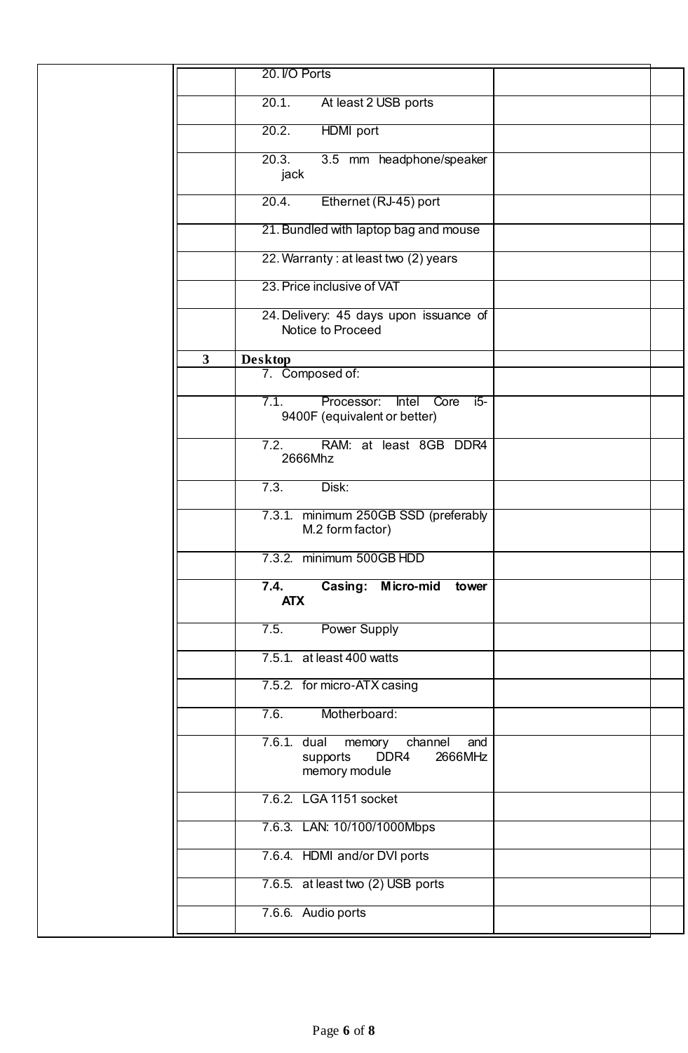|              | 20. I/O Ports                                                                           |  |
|--------------|-----------------------------------------------------------------------------------------|--|
|              | 20.1.<br>At least 2 USB ports                                                           |  |
|              | 20.2.<br>HDMI port                                                                      |  |
|              | 20.3.<br>3.5 mm headphone/speaker                                                       |  |
|              | jack                                                                                    |  |
|              | Ethernet (RJ-45) port<br>20.4.                                                          |  |
|              | 21. Bundled with laptop bag and mouse                                                   |  |
|              | 22. Warranty: at least two (2) years                                                    |  |
|              | 23. Price inclusive of VAT                                                              |  |
|              | 24. Delivery: 45 days upon issuance of<br>Notice to Proceed                             |  |
| $\mathbf{3}$ | <b>Desktop</b>                                                                          |  |
|              | 7. Composed of:                                                                         |  |
|              | Processor:<br>7.1.<br>Intel<br>Core<br>$15-$<br>9400F (equivalent or better)            |  |
|              | RAM: at least 8GB DDR4<br>7.2.<br>2666Mhz                                               |  |
|              | 7.3.<br>Disk:                                                                           |  |
|              | 7.3.1. minimum 250GB SSD (preferably<br>M.2 form factor)                                |  |
|              | 7.3.2. minimum 500GB HDD                                                                |  |
|              | Micro-mid<br>$\overline{7}.4.$<br><b>Casing:</b><br>tower<br><b>ATX</b>                 |  |
|              | <b>Power Supply</b><br>7.5.                                                             |  |
|              | 7.5.1. at least 400 watts                                                               |  |
|              | 7.5.2. for micro-ATX casing                                                             |  |
|              | Motherboard:<br>7.6.                                                                    |  |
|              | 7.6.1. dual<br>memory<br>channel<br>and<br>DDR4<br>2666MHz<br>supports<br>memory module |  |
|              | 7.6.2. LGA 1151 socket                                                                  |  |
|              | 7.6.3. LAN: 10/100/1000Mbps                                                             |  |
|              | 7.6.4. HDMI and/or DVI ports                                                            |  |
|              | 7.6.5. at least two (2) USB ports                                                       |  |
|              | 7.6.6. Audio ports                                                                      |  |
|              |                                                                                         |  |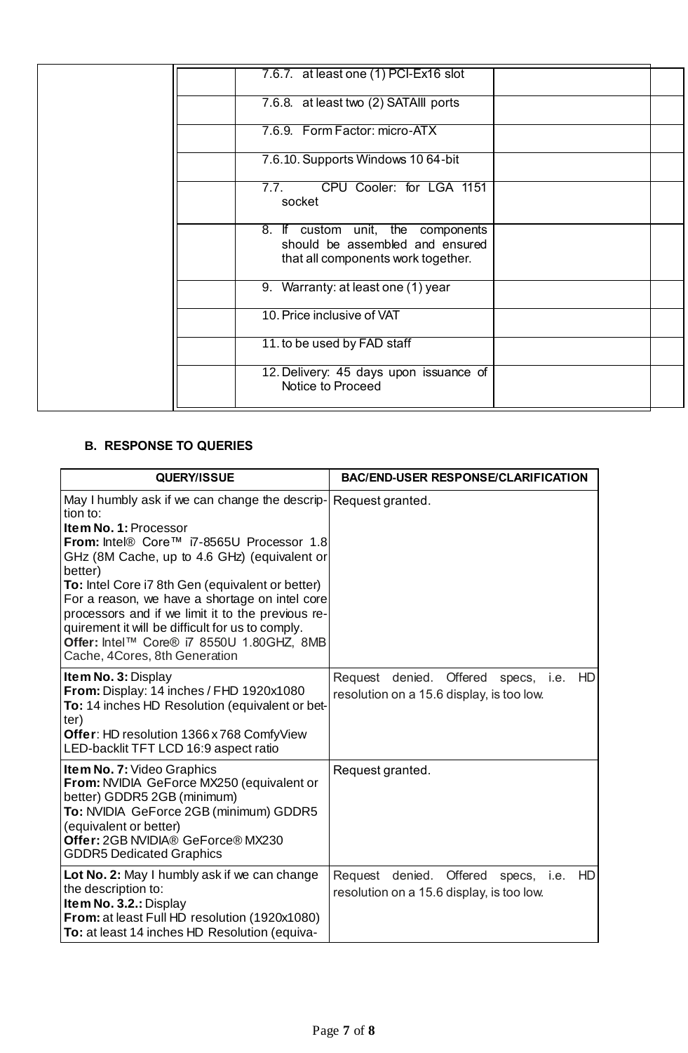| 7.6.7. at least one (1) PCI-Ex16 slot                                                                      |  |
|------------------------------------------------------------------------------------------------------------|--|
| 7.6.8. at least two (2) SATAIII ports                                                                      |  |
| 7.6.9. Form Factor: micro-ATX                                                                              |  |
| 7.6.10. Supports Windows 10 64-bit                                                                         |  |
| CPU Cooler: for LGA 1151<br>7.7.<br>socket                                                                 |  |
| 8. If custom unit, the components<br>should be assembled and ensured<br>that all components work together. |  |
| 9. Warranty: at least one (1) year                                                                         |  |
| 10. Price inclusive of VAT                                                                                 |  |
| 11. to be used by FAD staff                                                                                |  |
| 12. Delivery: 45 days upon issuance of<br>Notice to Proceed                                                |  |

## **B. RESPONSE TO QUERIES**

| QUERY/ISSUE                                                                                                                                                                                                                                                                                                                                                                                                                                                                              | <b>BAC/END-USER RESPONSE/CLARIFICATION</b>                                                                |
|------------------------------------------------------------------------------------------------------------------------------------------------------------------------------------------------------------------------------------------------------------------------------------------------------------------------------------------------------------------------------------------------------------------------------------------------------------------------------------------|-----------------------------------------------------------------------------------------------------------|
| May I humbly ask if we can change the descrip-<br>tion to:<br>Item No. 1: Processor<br>From: Intel® Core™ i7-8565U Processor 1.8<br>GHz (8M Cache, up to 4.6 GHz) (equivalent or<br>better)<br>To: Intel Core i7 8th Gen (equivalent or better)<br>For a reason, we have a shortage on intel core<br>processors and if we limit it to the previous re-<br>quirement it will be difficult for us to comply.<br>Offer: Intel™ Core® i7 8550U 1.80GHZ, 8MB<br>Cache, 4Cores, 8th Generation | Request granted.                                                                                          |
| Item No. 3: Display<br>From: Display: 14 inches / FHD 1920x1080<br>To: 14 inches HD Resolution (equivalent or bet-<br>ter)<br>Offer: HD resolution 1366 x 768 ComfyView<br>LED-backlit TFT LCD 16:9 aspect ratio                                                                                                                                                                                                                                                                         | Request denied. Offered<br>HD<br>specs, i.e.<br>resolution on a 15.6 display, is too low.                 |
| <b>Item No. 7: Video Graphics</b><br>From: NVIDIA GeForce MX250 (equivalent or<br>better) GDDR5 2GB (minimum)<br>To: NVIDIA GeForce 2GB (minimum) GDDR5<br>(equivalent or better)<br>Offer: 2GB NVIDIA® GeForce® MX230<br><b>GDDR5 Dedicated Graphics</b>                                                                                                                                                                                                                                | Request granted.                                                                                          |
| Lot No. 2: May I humbly ask if we can change<br>the description to:<br>Item No. 3.2.: Display<br>From: at least Full HD resolution (1920x1080)<br>To: at least 14 inches HD Resolution (equiva-                                                                                                                                                                                                                                                                                          | denied.<br>Request<br>Offered<br><b>HD</b><br>i.e.<br>specs,<br>resolution on a 15.6 display, is too low. |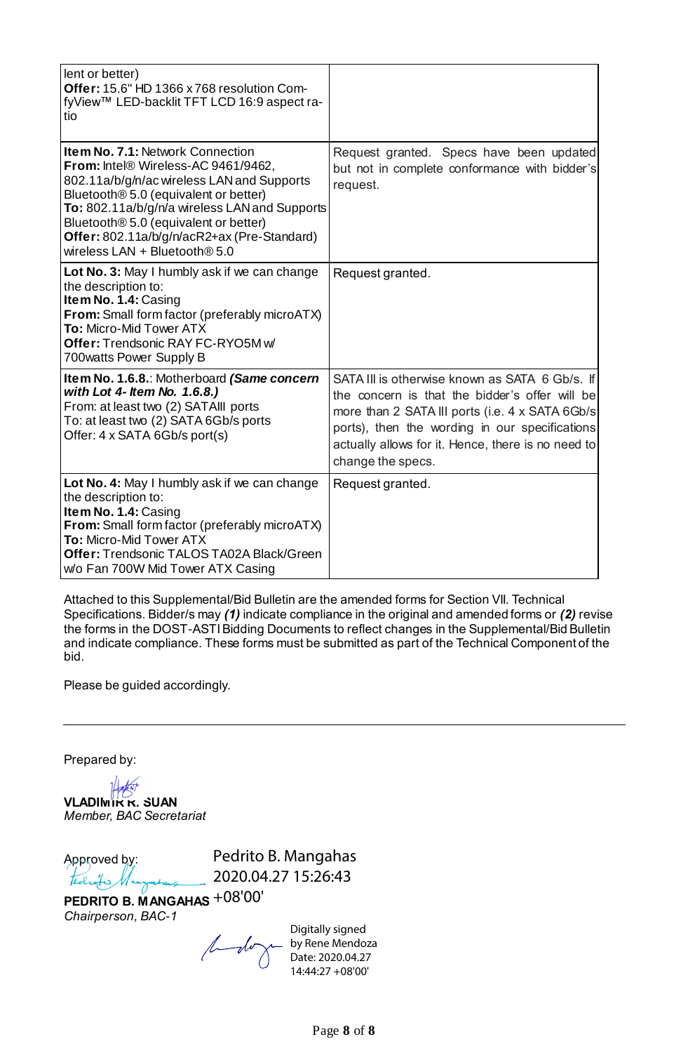| lent or better)<br>Offer: 15.6" HD 1366 x 768 resolution Com-<br>fyView™ LED-backlit TFT LCD 16:9 aspect ra-<br>tio                                                                                                                                                                                                                                          |                                                                                                                                                                                                                                                                                   |
|--------------------------------------------------------------------------------------------------------------------------------------------------------------------------------------------------------------------------------------------------------------------------------------------------------------------------------------------------------------|-----------------------------------------------------------------------------------------------------------------------------------------------------------------------------------------------------------------------------------------------------------------------------------|
| <b>Item No. 7.1: Network Connection</b><br>From: Intel® Wireless-AC 9461/9462,<br>802.11a/b/g/n/ac wireless LAN and Supports<br>Bluetooth® 5.0 (equivalent or better)<br>To: 802.11a/b/g/n/a wireless LAN and Supports<br>Bluetooth <sup>®</sup> 5.0 (equivalent or better)<br>Offer: 802.11a/b/g/n/acR2+ax (Pre-Standard)<br>wireless $LAN + Bluetooth@5.0$ | Request granted. Specs have been updated<br>but not in complete conformance with bidder's<br>request.                                                                                                                                                                             |
| Lot No. 3: May I humbly ask if we can change<br>the description to:<br>Item No. 1.4: Casing<br>From: Small form factor (preferably microATX)<br>To: Micro-Mid Tower ATX<br>Offer: Trendsonic RAY FC-RYO5M w/<br>700 watts Power Supply B                                                                                                                     | Request granted.                                                                                                                                                                                                                                                                  |
| Item No. 1.6.8.: Motherboard (Same concern<br>with Lot 4- Item No. 1.6.8.)<br>From: at least two (2) SATAIII ports<br>To: at least two (2) SATA 6Gb/s ports<br>Offer: 4 x SATA 6Gb/s port(s)                                                                                                                                                                 | SATA III is otherwise known as SATA 6 Gb/s. If<br>the concern is that the bidder's offer will be<br>more than 2 SATA III ports (i.e. 4 x SATA 6Gb/s)<br>ports), then the wording in our specifications<br>actually allows for it. Hence, there is no need to<br>change the specs. |
| Lot No. 4: May I humbly ask if we can change<br>the description to:<br>Item No. 1.4: Casing<br>From: Small form factor (preferably microATX)<br>To: Micro-Mid Tower ATX<br>Offer: Trendsonic TALOS TA02A Black/Green<br>w/o Fan 700W Mid Tower ATX Casing                                                                                                    | Request granted.                                                                                                                                                                                                                                                                  |

Attached to this Supplemental/Bid Bulletin are the amended forms for Section VII. Technical Specifications. Bidder/s may *(1)* indicate compliance in the original and amended forms or *(2)* revise the forms in the DOST-ASTI Bidding Documents to reflect changes in the Supplemental/Bid Bulletin and indicate compliance. These forms must be submitted as part of the Technical Component of the bid.

Please be guided accordingly.

Prepared by:

**VLADIMIR R. SUAN** *Member, BAC Secretariat*

Approved by: Pedrito B. Mangahas 2020.04.27 15:26:43

**PEDRITO B. MANGAHAS** +08'00'*Chairperson, BAC-1*

 $10 - 10$ 

Digitally signed by Rene Mendoza Date: 2020.04.27 14:44:27 +08'00'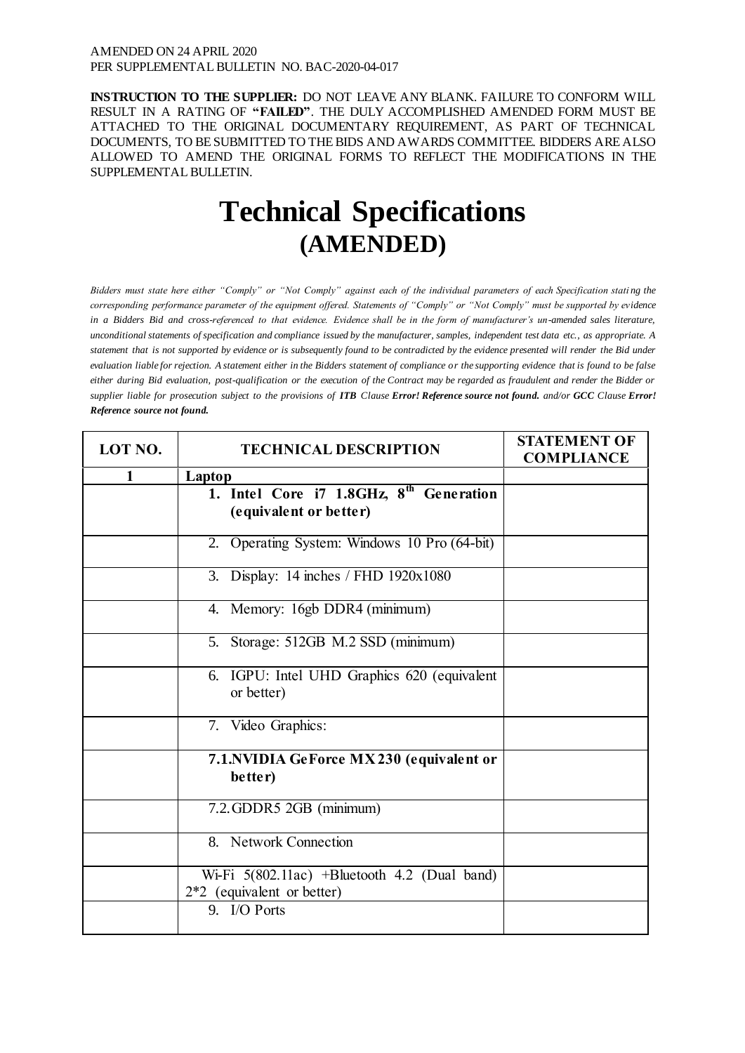**INSTRUCTION TO THE SUPPLIER:** DO NOT LEAVE ANY BLANK. FAILURE TO CONFORM WILL RESULT IN A RATING OF **"FAILED"**. THE DULY ACCOMPLISHED AMENDED FORM MUST BE ATTACHED TO THE ORIGINAL DOCUMENTARY REQUIREMENT, AS PART OF TECHNICAL DOCUMENTS, TO BE SUBMITTED TO THE BIDS AND AWARDS COMMITTEE. BIDDERS ARE ALSO ALLOWED TO AMEND THE ORIGINAL FORMS TO REFLECT THE MODIFICATIONS IN THE SUPPLEMENTAL BULLETIN.

# **Technical Specifications (AMENDED)**

*Bidders must state here either "Comply" or "Not Comply" against each of the individual parameters of each Specification stating the corresponding performance parameter of the equipment offered. Statements of "Comply" or "Not Comply" must be supported by evidence in a Bidders Bid and cross-referenced to that evidence. Evidence shall be in the form of manufacturer's un-amended sales literature, unconditional statements of specification and compliance issued by the manufacturer, samples, independent test data etc., as appropriate. A statement that is not supported by evidence or is subsequently found to be contradicted by the evidence presented will render the Bid under evaluation liable for rejection. A statement either in the Bidders statement of compliance or the supporting evidence that is found to be false either during Bid evaluation, post-qualification or the execution of the Contract may be regarded as fraudulent and render the Bidder or supplier liable for prosecution subject to the provisions of ITB Clause Error! Reference source not found. and/or GCC Clause Error! Reference source not found.*

| LOT NO.      | <b>TECHNICAL DESCRIPTION</b>                                                   | <b>STATEMENT OF</b><br><b>COMPLIANCE</b> |
|--------------|--------------------------------------------------------------------------------|------------------------------------------|
| $\mathbf{1}$ | Laptop                                                                         |                                          |
|              | 1. Intel Core i7 1.8GHz, 8 <sup>th</sup> Generation<br>(equivalent or better)  |                                          |
|              | 2. Operating System: Windows 10 Pro (64-bit)                                   |                                          |
|              | 3. Display: 14 inches / FHD 1920x1080                                          |                                          |
|              | 4. Memory: 16gb DDR4 (minimum)                                                 |                                          |
|              | 5. Storage: 512GB M.2 SSD (minimum)                                            |                                          |
|              | 6. IGPU: Intel UHD Graphics 620 (equivalent<br>or better)                      |                                          |
|              | 7. Video Graphics:                                                             |                                          |
|              | 7.1. NVIDIA GeForce MX 230 (equivalent or<br>better)                           |                                          |
|              | 7.2. GDDR5 2GB (minimum)                                                       |                                          |
|              | 8. Network Connection                                                          |                                          |
|              | Wi-Fi $5(802.11ac)$ +Bluetooth 4.2 (Dual band)<br>$2*2$ (equivalent or better) |                                          |
|              | 9. I/O Ports                                                                   |                                          |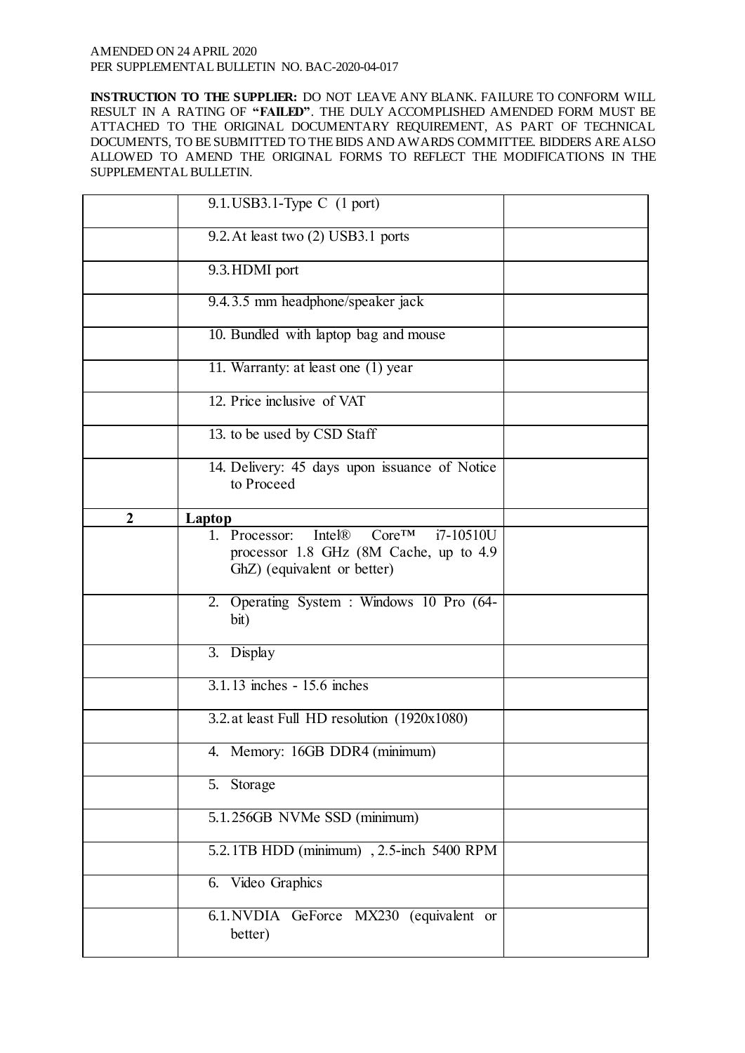**INSTRUCTION TO THE SUPPLIER:** DO NOT LEAVE ANY BLANK. FAILURE TO CONFORM WILL RESULT IN A RATING OF **"FAILED"**. THE DULY ACCOMPLISHED AMENDED FORM MUST BE ATTACHED TO THE ORIGINAL DOCUMENTARY REQUIREMENT, AS PART OF TECHNICAL DOCUMENTS, TO BE SUBMITTED TO THE BIDS AND AWARDS COMMITTEE. BIDDERS ARE ALSO ALLOWED TO AMEND THE ORIGINAL FORMS TO REFLECT THE MODIFICATIONS IN THE SUPPLEMENTAL BULLETIN.

|              | $9.1.$ USB3.1-Type C $(1$ port)                                                                                                         |  |
|--------------|-----------------------------------------------------------------------------------------------------------------------------------------|--|
|              | 9.2. At least two (2) USB3.1 ports                                                                                                      |  |
|              | 9.3. HDMI port                                                                                                                          |  |
|              | 9.4.3.5 mm headphone/speaker jack                                                                                                       |  |
|              | 10. Bundled with laptop bag and mouse                                                                                                   |  |
|              | 11. Warranty: at least one (1) year                                                                                                     |  |
|              | 12. Price inclusive of VAT                                                                                                              |  |
|              | 13. to be used by CSD Staff                                                                                                             |  |
|              | 14. Delivery: 45 days upon issuance of Notice<br>to Proceed                                                                             |  |
| $\mathbf{2}$ | <b>Laptop</b>                                                                                                                           |  |
|              | $Core^{TM}$ $i7-10510U$<br>Intel <sup>®</sup><br>1. Processor:<br>processor 1.8 GHz (8M Cache, up to 4.9<br>GhZ) (equivalent or better) |  |
|              | 2. Operating System : Windows 10 Pro (64-<br>bit)                                                                                       |  |
|              | 3. Display                                                                                                                              |  |
|              | 3.1.13 inches - 15.6 inches                                                                                                             |  |
|              | 3.2. at least Full HD resolution (1920x1080)                                                                                            |  |
|              | 4. Memory: 16GB DDR4 (minimum)                                                                                                          |  |
|              | 5. Storage                                                                                                                              |  |
|              | 5.1.256GB NVMe SSD (minimum)                                                                                                            |  |
|              | 5.2.1TB HDD (minimum), 2.5-inch 5400 RPM                                                                                                |  |
|              | 6. Video Graphics                                                                                                                       |  |
|              | 6.1. NVDIA GeForce MX230 (equivalent or<br>better)                                                                                      |  |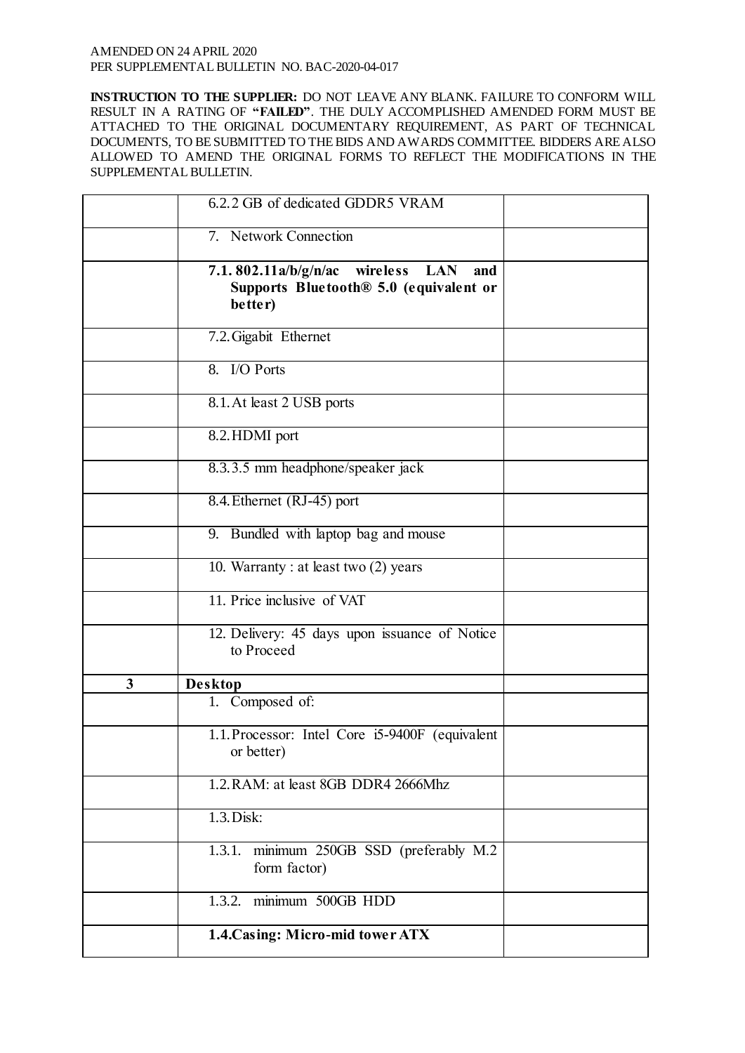**INSTRUCTION TO THE SUPPLIER:** DO NOT LEAVE ANY BLANK. FAILURE TO CONFORM WILL RESULT IN A RATING OF **"FAILED"**. THE DULY ACCOMPLISHED AMENDED FORM MUST BE ATTACHED TO THE ORIGINAL DOCUMENTARY REQUIREMENT, AS PART OF TECHNICAL DOCUMENTS, TO BE SUBMITTED TO THE BIDS AND AWARDS COMMITTEE. BIDDERS ARE ALSO ALLOWED TO AMEND THE ORIGINAL FORMS TO REFLECT THE MODIFICATIONS IN THE SUPPLEMENTAL BULLETIN.

|   | 6.2.2 GB of dedicated GDDR5 VRAM                                                                                       |  |
|---|------------------------------------------------------------------------------------------------------------------------|--|
|   | 7. Network Connection                                                                                                  |  |
|   | 7.1.802.11a/b/g/n/ac<br>wireless<br><b>LAN</b><br>and<br>Supports Bluetooth <sup>®</sup> 5.0 (equivalent or<br>better) |  |
|   | 7.2. Gigabit Ethernet                                                                                                  |  |
|   | 8. I/O Ports                                                                                                           |  |
|   | 8.1. At least 2 USB ports                                                                                              |  |
|   | 8.2. HDMI port                                                                                                         |  |
|   | 8.3.3.5 mm headphone/speaker jack                                                                                      |  |
|   | 8.4. Ethernet (RJ-45) port                                                                                             |  |
|   | 9. Bundled with laptop bag and mouse                                                                                   |  |
|   | 10. Warranty : at least two (2) years                                                                                  |  |
|   | 11. Price inclusive of VAT                                                                                             |  |
|   | 12. Delivery: 45 days upon issuance of Notice<br>to Proceed                                                            |  |
| 3 | <b>Desktop</b>                                                                                                         |  |
|   | 1. Composed of:                                                                                                        |  |
|   | 1.1. Processor: Intel Core i5-9400F (equivalent<br>or better)                                                          |  |
|   | 1.2. RAM: at least 8GB DDR4 2666Mhz                                                                                    |  |
|   | 1.3. Disk:                                                                                                             |  |
|   | minimum 250GB SSD (preferably M.2)<br>1.3.1.<br>form factor)                                                           |  |
|   | minimum 500GB HDD<br>1.3.2.                                                                                            |  |
|   | 1.4. Casing: Micro-mid tower ATX                                                                                       |  |